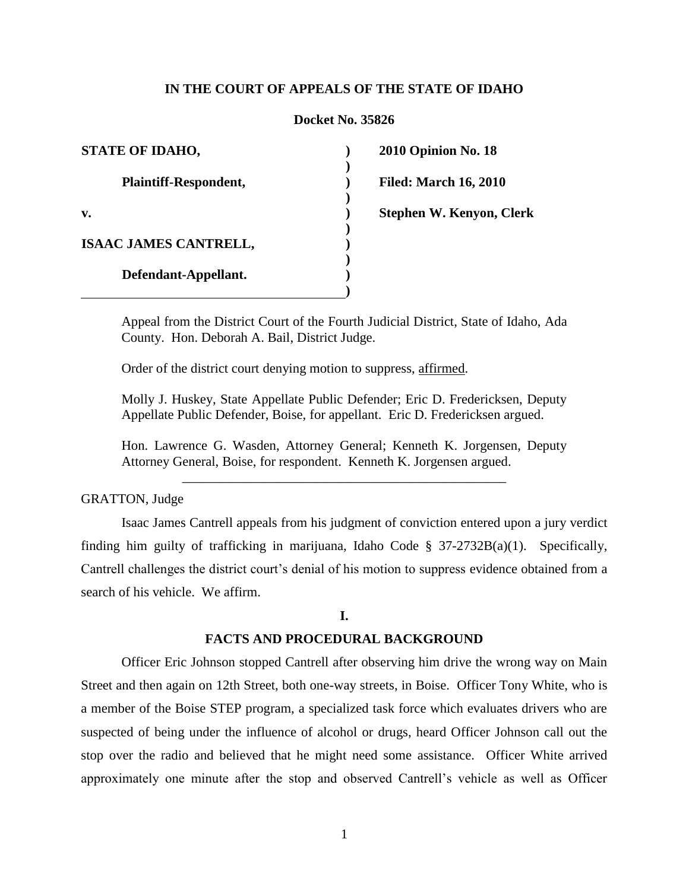# **IN THE COURT OF APPEALS OF THE STATE OF IDAHO**

### **Docket No. 35826**

**) ) ) ) ) ) ) ) ) )**

| <b>STATE OF IDAHO,</b>       |
|------------------------------|
| Plaintiff-Respondent,        |
| v.                           |
| <b>ISAAC JAMES CANTRELL,</b> |
| Defendant-Appellant.         |

**2010 Opinion No. 18**

**Filed: March 16, 2010**

**Stephen W. Kenyon, Clerk**

Appeal from the District Court of the Fourth Judicial District, State of Idaho, Ada County. Hon. Deborah A. Bail, District Judge.

Order of the district court denying motion to suppress, affirmed.

Molly J. Huskey, State Appellate Public Defender; Eric D. Fredericksen, Deputy Appellate Public Defender, Boise, for appellant. Eric D. Fredericksen argued.

Hon. Lawrence G. Wasden, Attorney General; Kenneth K. Jorgensen, Deputy Attorney General, Boise, for respondent. Kenneth K. Jorgensen argued.

\_\_\_\_\_\_\_\_\_\_\_\_\_\_\_\_\_\_\_\_\_\_\_\_\_\_\_\_\_\_\_\_\_\_\_\_\_\_\_\_\_\_\_\_\_\_\_\_

## GRATTON, Judge

Isaac James Cantrell appeals from his judgment of conviction entered upon a jury verdict finding him guilty of trafficking in marijuana, Idaho Code  $\S$  37-2732B(a)(1). Specifically, Cantrell challenges the district court's denial of his motion to suppress evidence obtained from a search of his vehicle. We affirm.

#### **I.**

### **FACTS AND PROCEDURAL BACKGROUND**

Officer Eric Johnson stopped Cantrell after observing him drive the wrong way on Main Street and then again on 12th Street, both one-way streets, in Boise. Officer Tony White, who is a member of the Boise STEP program, a specialized task force which evaluates drivers who are suspected of being under the influence of alcohol or drugs, heard Officer Johnson call out the stop over the radio and believed that he might need some assistance. Officer White arrived approximately one minute after the stop and observed Cantrell"s vehicle as well as Officer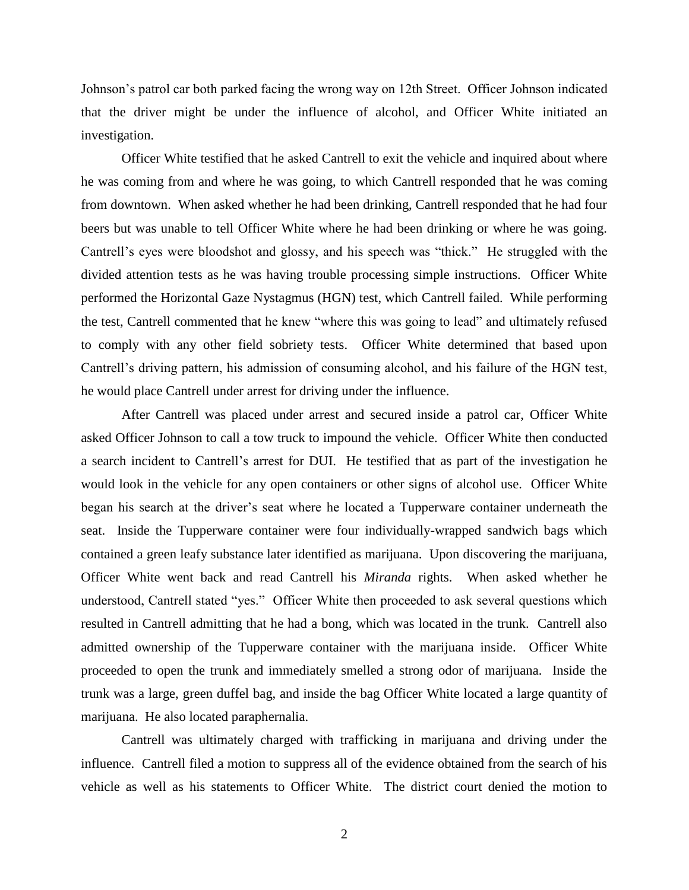Johnson"s patrol car both parked facing the wrong way on 12th Street. Officer Johnson indicated that the driver might be under the influence of alcohol, and Officer White initiated an investigation.

Officer White testified that he asked Cantrell to exit the vehicle and inquired about where he was coming from and where he was going, to which Cantrell responded that he was coming from downtown. When asked whether he had been drinking, Cantrell responded that he had four beers but was unable to tell Officer White where he had been drinking or where he was going. Cantrell"s eyes were bloodshot and glossy, and his speech was "thick." He struggled with the divided attention tests as he was having trouble processing simple instructions. Officer White performed the Horizontal Gaze Nystagmus (HGN) test, which Cantrell failed. While performing the test, Cantrell commented that he knew "where this was going to lead" and ultimately refused to comply with any other field sobriety tests. Officer White determined that based upon Cantrell"s driving pattern, his admission of consuming alcohol, and his failure of the HGN test, he would place Cantrell under arrest for driving under the influence.

After Cantrell was placed under arrest and secured inside a patrol car, Officer White asked Officer Johnson to call a tow truck to impound the vehicle. Officer White then conducted a search incident to Cantrell"s arrest for DUI. He testified that as part of the investigation he would look in the vehicle for any open containers or other signs of alcohol use. Officer White began his search at the driver's seat where he located a Tupperware container underneath the seat. Inside the Tupperware container were four individually-wrapped sandwich bags which contained a green leafy substance later identified as marijuana. Upon discovering the marijuana, Officer White went back and read Cantrell his *Miranda* rights. When asked whether he understood, Cantrell stated "yes." Officer White then proceeded to ask several questions which resulted in Cantrell admitting that he had a bong, which was located in the trunk. Cantrell also admitted ownership of the Tupperware container with the marijuana inside. Officer White proceeded to open the trunk and immediately smelled a strong odor of marijuana. Inside the trunk was a large, green duffel bag, and inside the bag Officer White located a large quantity of marijuana. He also located paraphernalia.

Cantrell was ultimately charged with trafficking in marijuana and driving under the influence. Cantrell filed a motion to suppress all of the evidence obtained from the search of his vehicle as well as his statements to Officer White. The district court denied the motion to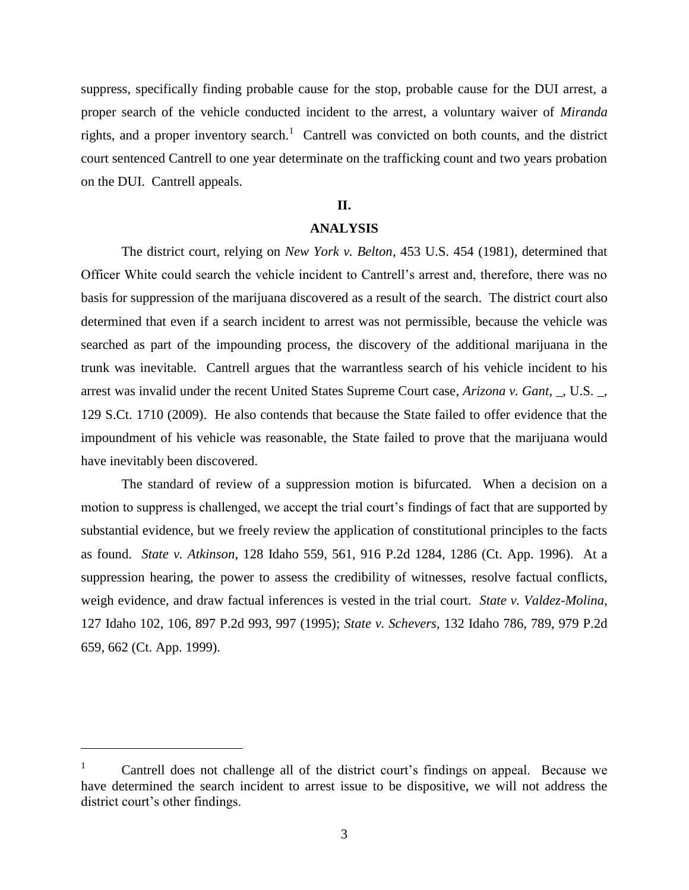suppress, specifically finding probable cause for the stop, probable cause for the DUI arrest, a proper search of the vehicle conducted incident to the arrest, a voluntary waiver of *Miranda* rights, and a proper inventory search.<sup>1</sup> Cantrell was convicted on both counts, and the district court sentenced Cantrell to one year determinate on the trafficking count and two years probation on the DUI. Cantrell appeals.

# **II.**

## **ANALYSIS**

The district court, relying on *New York v. Belton*, 453 U.S. 454 (1981), determined that Officer White could search the vehicle incident to Cantrell"s arrest and, therefore, there was no basis for suppression of the marijuana discovered as a result of the search. The district court also determined that even if a search incident to arrest was not permissible, because the vehicle was searched as part of the impounding process, the discovery of the additional marijuana in the trunk was inevitable. Cantrell argues that the warrantless search of his vehicle incident to his arrest was invalid under the recent United States Supreme Court case, *Arizona v. Gant*, \_, U.S. \_, 129 S.Ct. 1710 (2009). He also contends that because the State failed to offer evidence that the impoundment of his vehicle was reasonable, the State failed to prove that the marijuana would have inevitably been discovered.

The standard of review of a suppression motion is bifurcated. When a decision on a motion to suppress is challenged, we accept the trial court"s findings of fact that are supported by substantial evidence, but we freely review the application of constitutional principles to the facts as found. *State v. Atkinson*, 128 Idaho 559, 561, 916 P.2d 1284, 1286 (Ct. App. 1996). At a suppression hearing, the power to assess the credibility of witnesses, resolve factual conflicts, weigh evidence, and draw factual inferences is vested in the trial court. *State v. Valdez-Molina*, 127 Idaho 102, 106, 897 P.2d 993, 997 (1995); *State v. Schevers*, 132 Idaho 786, 789, 979 P.2d 659, 662 (Ct. App. 1999).

 $\overline{a}$ 

 $1$  Cantrell does not challenge all of the district court's findings on appeal. Because we have determined the search incident to arrest issue to be dispositive, we will not address the district court's other findings.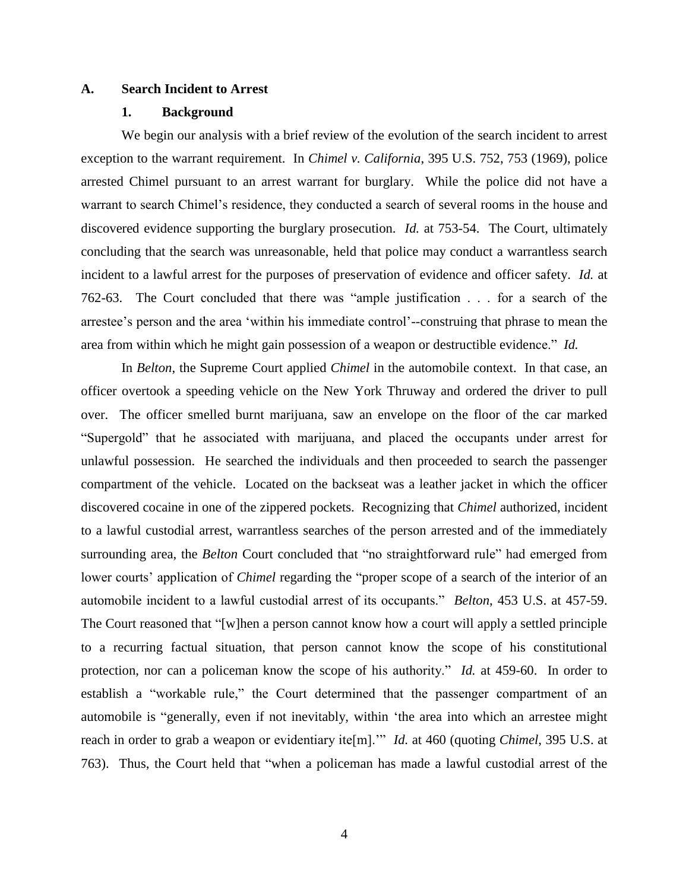### **A. Search Incident to Arrest**

## **1. Background**

We begin our analysis with a brief review of the evolution of the search incident to arrest exception to the warrant requirement. In *Chimel v. California*, 395 U.S. 752, 753 (1969), police arrested Chimel pursuant to an arrest warrant for burglary. While the police did not have a warrant to search Chimel"s residence, they conducted a search of several rooms in the house and discovered evidence supporting the burglary prosecution. *Id.* at 753-54. The Court, ultimately concluding that the search was unreasonable, held that police may conduct a warrantless search incident to a lawful arrest for the purposes of preservation of evidence and officer safety. *Id.* at 762-63. The Court concluded that there was "ample justification . . . for a search of the arrestee"s person and the area "within his immediate control"--construing that phrase to mean the area from within which he might gain possession of a weapon or destructible evidence." *Id.*

In *Belton*, the Supreme Court applied *Chimel* in the automobile context. In that case, an officer overtook a speeding vehicle on the New York Thruway and ordered the driver to pull over. The officer smelled burnt marijuana, saw an envelope on the floor of the car marked "Supergold" that he associated with marijuana, and placed the occupants under arrest for unlawful possession. He searched the individuals and then proceeded to search the passenger compartment of the vehicle. Located on the backseat was a leather jacket in which the officer discovered cocaine in one of the zippered pockets. Recognizing that *Chimel* authorized, incident to a lawful custodial arrest, warrantless searches of the person arrested and of the immediately surrounding area, the *Belton* Court concluded that "no straightforward rule" had emerged from lower courts' application of *Chimel* regarding the "proper scope of a search of the interior of an automobile incident to a lawful custodial arrest of its occupants." *Belton*, 453 U.S. at 457-59. The Court reasoned that "[w]hen a person cannot know how a court will apply a settled principle to a recurring factual situation, that person cannot know the scope of his constitutional protection, nor can a policeman know the scope of his authority." *Id.* at 459-60. In order to establish a "workable rule," the Court determined that the passenger compartment of an automobile is "generally, even if not inevitably, within "the area into which an arrestee might reach in order to grab a weapon or evidentiary ite[m]."" *Id.* at 460 (quoting *Chimel*, 395 U.S. at 763). Thus, the Court held that "when a policeman has made a lawful custodial arrest of the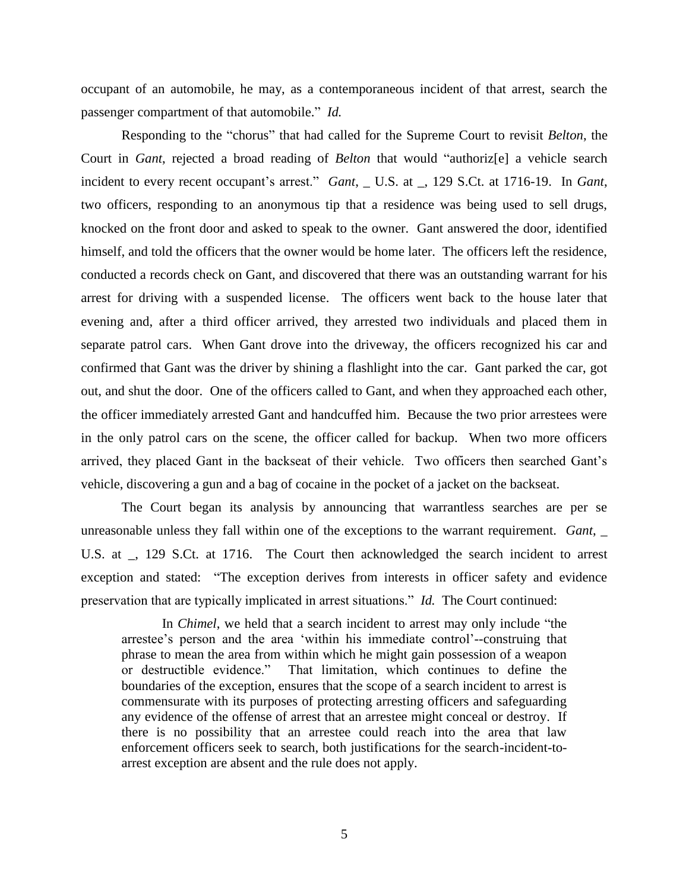occupant of an automobile, he may, as a contemporaneous incident of that arrest, search the passenger compartment of that automobile." *Id.*

Responding to the "chorus" that had called for the Supreme Court to revisit *Belton*, the Court in *Gant*, rejected a broad reading of *Belton* that would "authoriz[e] a vehicle search incident to every recent occupant's arrest." *Gant*, \_ U.S. at \_, 129 S.Ct. at 1716-19. In *Gant*, two officers, responding to an anonymous tip that a residence was being used to sell drugs, knocked on the front door and asked to speak to the owner. Gant answered the door, identified himself, and told the officers that the owner would be home later. The officers left the residence, conducted a records check on Gant, and discovered that there was an outstanding warrant for his arrest for driving with a suspended license. The officers went back to the house later that evening and, after a third officer arrived, they arrested two individuals and placed them in separate patrol cars. When Gant drove into the driveway, the officers recognized his car and confirmed that Gant was the driver by shining a flashlight into the car. Gant parked the car, got out, and shut the door. One of the officers called to Gant, and when they approached each other, the officer immediately arrested Gant and handcuffed him. Because the two prior arrestees were in the only patrol cars on the scene, the officer called for backup. When two more officers arrived, they placed Gant in the backseat of their vehicle. Two officers then searched Gant"s vehicle, discovering a gun and a bag of cocaine in the pocket of a jacket on the backseat.

The Court began its analysis by announcing that warrantless searches are per se unreasonable unless they fall within one of the exceptions to the warrant requirement. *Gant*, \_ U.S. at \_, 129 S.Ct. at 1716. The Court then acknowledged the search incident to arrest exception and stated: "The exception derives from interests in officer safety and evidence preservation that are typically implicated in arrest situations." *Id.* The Court continued:

In *Chimel*, we held that a search incident to arrest may only include "the arrestee"s person and the area "within his immediate control"--construing that phrase to mean the area from within which he might gain possession of a weapon or destructible evidence." That limitation, which continues to define the boundaries of the exception, ensures that the scope of a search incident to arrest is commensurate with its purposes of protecting arresting officers and safeguarding any evidence of the offense of arrest that an arrestee might conceal or destroy. If there is no possibility that an arrestee could reach into the area that law enforcement officers seek to search, both justifications for the search-incident-toarrest exception are absent and the rule does not apply.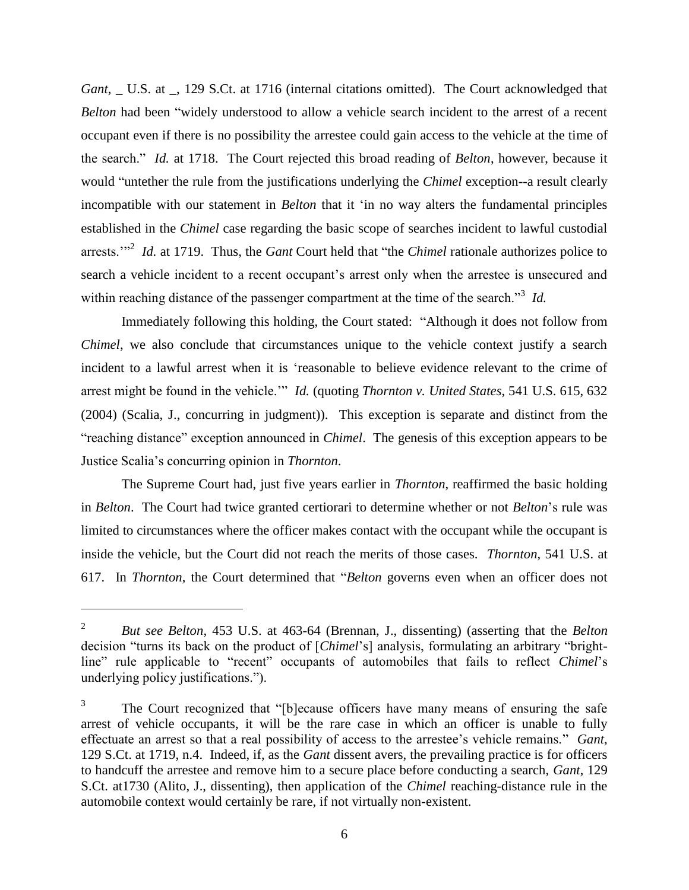*Gant*, \_ U.S. at \_, 129 S.Ct. at 1716 (internal citations omitted). The Court acknowledged that *Belton* had been "widely understood to allow a vehicle search incident to the arrest of a recent occupant even if there is no possibility the arrestee could gain access to the vehicle at the time of the search." *Id.* at 1718. The Court rejected this broad reading of *Belton*, however, because it would "untether the rule from the justifications underlying the *Chimel* exception--a result clearly incompatible with our statement in *Belton* that it "in no way alters the fundamental principles established in the *Chimel* case regarding the basic scope of searches incident to lawful custodial arrests."<sup>2</sup> *Id.* at 1719. Thus, the *Gant* Court held that "the *Chimel* rationale authorizes police to search a vehicle incident to a recent occupant's arrest only when the arrestee is unsecured and within reaching distance of the passenger compartment at the time of the search.<sup>33</sup> *Id.* 

Immediately following this holding, the Court stated: "Although it does not follow from *Chimel*, we also conclude that circumstances unique to the vehicle context justify a search incident to a lawful arrest when it is "reasonable to believe evidence relevant to the crime of arrest might be found in the vehicle."" *Id.* (quoting *Thornton v. United States*, 541 U.S. 615, 632 (2004) (Scalia, J., concurring in judgment)). This exception is separate and distinct from the "reaching distance" exception announced in *Chimel*. The genesis of this exception appears to be Justice Scalia"s concurring opinion in *Thornton*.

The Supreme Court had, just five years earlier in *Thornton*, reaffirmed the basic holding in *Belton*. The Court had twice granted certiorari to determine whether or not *Belton*"s rule was limited to circumstances where the officer makes contact with the occupant while the occupant is inside the vehicle, but the Court did not reach the merits of those cases. *Thornton*, 541 U.S. at 617. In *Thornton*, the Court determined that "*Belton* governs even when an officer does not

 $\overline{a}$ 

<sup>2</sup> *But see Belton*, 453 U.S. at 463-64 (Brennan, J., dissenting) (asserting that the *Belton* decision "turns its back on the product of [*Chimel*"s] analysis, formulating an arbitrary "brightline" rule applicable to "recent" occupants of automobiles that fails to reflect *Chimel*"s underlying policy justifications.").

<sup>3</sup> The Court recognized that "[b]ecause officers have many means of ensuring the safe arrest of vehicle occupants, it will be the rare case in which an officer is unable to fully effectuate an arrest so that a real possibility of access to the arrestee"s vehicle remains." *Gant*, 129 S.Ct. at 1719, n.4. Indeed, if, as the *Gant* dissent avers, the prevailing practice is for officers to handcuff the arrestee and remove him to a secure place before conducting a search, *Gant*, 129 S.Ct. at1730 (Alito, J., dissenting), then application of the *Chimel* reaching-distance rule in the automobile context would certainly be rare, if not virtually non-existent.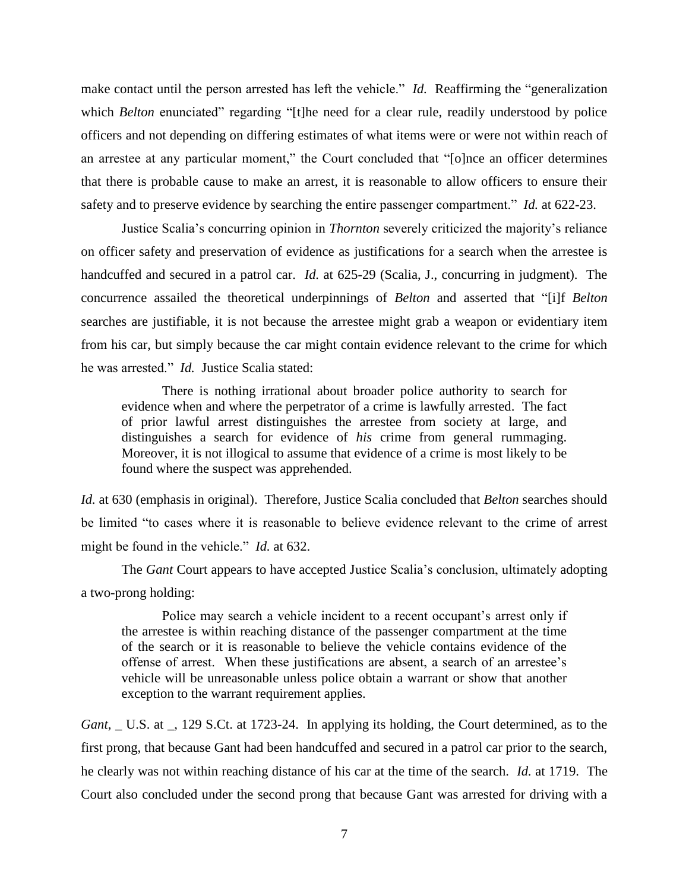make contact until the person arrested has left the vehicle." *Id.* Reaffirming the "generalization which *Belton* enunciated" regarding "[t]he need for a clear rule, readily understood by police officers and not depending on differing estimates of what items were or were not within reach of an arrestee at any particular moment," the Court concluded that "[o]nce an officer determines that there is probable cause to make an arrest, it is reasonable to allow officers to ensure their safety and to preserve evidence by searching the entire passenger compartment." *Id.* at 622-23.

Justice Scalia"s concurring opinion in *Thornton* severely criticized the majority"s reliance on officer safety and preservation of evidence as justifications for a search when the arrestee is handcuffed and secured in a patrol car. *Id.* at 625-29 (Scalia, J., concurring in judgment). The concurrence assailed the theoretical underpinnings of *Belton* and asserted that "[i]f *Belton*  searches are justifiable, it is not because the arrestee might grab a weapon or evidentiary item from his car, but simply because the car might contain evidence relevant to the crime for which he was arrested." *Id.* Justice Scalia stated:

There is nothing irrational about broader police authority to search for evidence when and where the perpetrator of a crime is lawfully arrested. The fact of prior lawful arrest distinguishes the arrestee from society at large, and distinguishes a search for evidence of *his* crime from general rummaging. Moreover, it is not illogical to assume that evidence of a crime is most likely to be found where the suspect was apprehended.

*Id.* at 630 (emphasis in original). Therefore, Justice Scalia concluded that *Belton* searches should be limited "to cases where it is reasonable to believe evidence relevant to the crime of arrest might be found in the vehicle." *Id.* at 632.

The *Gant* Court appears to have accepted Justice Scalia"s conclusion, ultimately adopting a two-prong holding:

Police may search a vehicle incident to a recent occupant's arrest only if the arrestee is within reaching distance of the passenger compartment at the time of the search or it is reasonable to believe the vehicle contains evidence of the offense of arrest. When these justifications are absent, a search of an arrestee"s vehicle will be unreasonable unless police obtain a warrant or show that another exception to the warrant requirement applies.

*Gant*, \_ U.S. at \_, 129 S.Ct. at 1723-24. In applying its holding, the Court determined, as to the first prong, that because Gant had been handcuffed and secured in a patrol car prior to the search, he clearly was not within reaching distance of his car at the time of the search. *Id.* at 1719. The Court also concluded under the second prong that because Gant was arrested for driving with a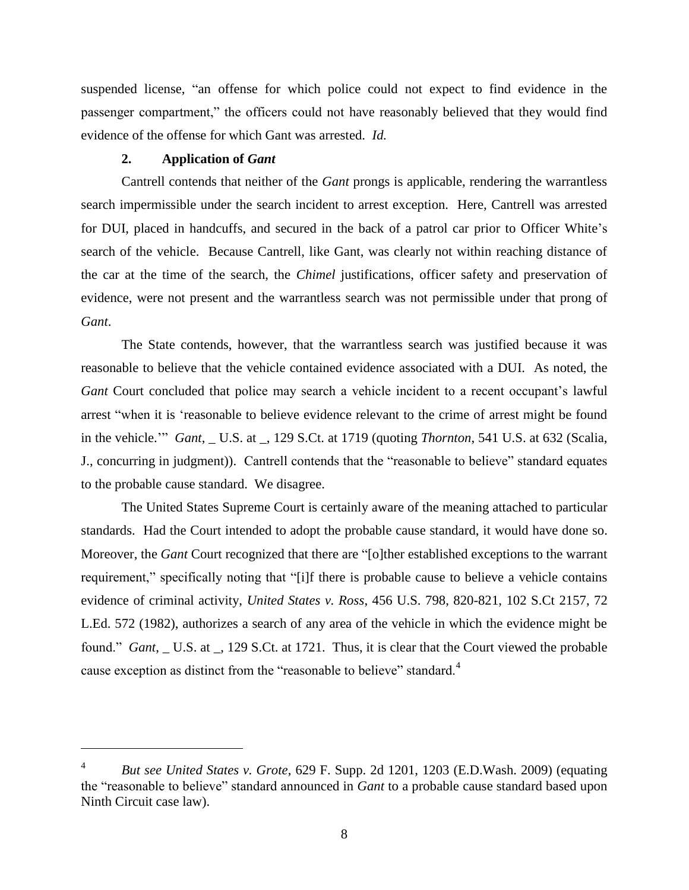suspended license, "an offense for which police could not expect to find evidence in the passenger compartment," the officers could not have reasonably believed that they would find evidence of the offense for which Gant was arrested. *Id.*

# **2. Application of** *Gant*

 $\overline{a}$ 

Cantrell contends that neither of the *Gant* prongs is applicable, rendering the warrantless search impermissible under the search incident to arrest exception. Here, Cantrell was arrested for DUI, placed in handcuffs, and secured in the back of a patrol car prior to Officer White's search of the vehicle. Because Cantrell, like Gant, was clearly not within reaching distance of the car at the time of the search, the *Chimel* justifications, officer safety and preservation of evidence, were not present and the warrantless search was not permissible under that prong of *Gant*.

The State contends, however, that the warrantless search was justified because it was reasonable to believe that the vehicle contained evidence associated with a DUI. As noted, the Gant Court concluded that police may search a vehicle incident to a recent occupant's lawful arrest "when it is "reasonable to believe evidence relevant to the crime of arrest might be found in the vehicle."" *Gant*, \_ U.S. at \_, 129 S.Ct. at 1719 (quoting *Thornton*, 541 U.S. at 632 (Scalia, J., concurring in judgment)). Cantrell contends that the "reasonable to believe" standard equates to the probable cause standard. We disagree.

The United States Supreme Court is certainly aware of the meaning attached to particular standards. Had the Court intended to adopt the probable cause standard, it would have done so. Moreover, the *Gant* Court recognized that there are "[o]ther established exceptions to the warrant requirement," specifically noting that "[i]f there is probable cause to believe a vehicle contains evidence of criminal activity, *United States v. Ross*, 456 U.S. 798, 820-821, 102 S.Ct 2157, 72 L.Ed. 572 (1982), authorizes a search of any area of the vehicle in which the evidence might be found." *Gant*, \_ U.S. at \_, 129 S.Ct. at 1721. Thus, it is clear that the Court viewed the probable cause exception as distinct from the "reasonable to believe" standard.<sup>4</sup>

<sup>4</sup> *But see United States v. Grote*, 629 F. Supp. 2d 1201, 1203 (E.D.Wash. 2009) (equating the "reasonable to believe" standard announced in *Gant* to a probable cause standard based upon Ninth Circuit case law).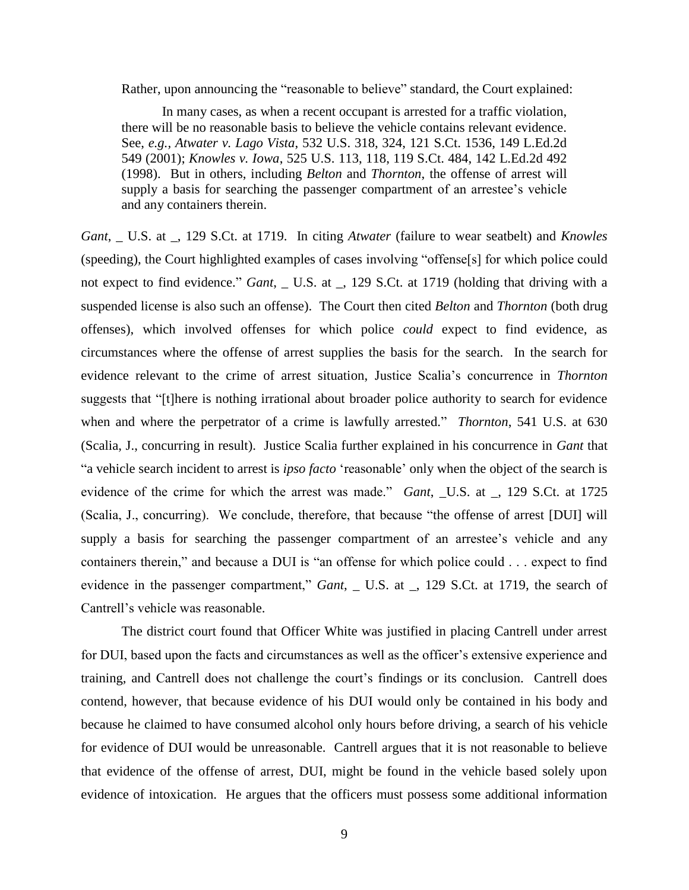Rather, upon announcing the "reasonable to believe" standard, the Court explained:

In many cases, as when a recent occupant is arrested for a traffic violation, there will be no reasonable basis to believe the vehicle contains relevant evidence. See, *e.g., Atwater v. Lago Vista*, 532 U.S. 318, 324, 121 S.Ct. 1536, 149 L.Ed.2d 549 (2001); *Knowles v. Iowa*, 525 U.S. 113, 118, 119 S.Ct. 484, 142 L.Ed.2d 492 (1998). But in others, including *Belton* and *Thornton*, the offense of arrest will supply a basis for searching the passenger compartment of an arrestee's vehicle and any containers therein.

*Gant*, \_ U.S. at \_, 129 S.Ct. at 1719. In citing *Atwater* (failure to wear seatbelt) and *Knowles* (speeding), the Court highlighted examples of cases involving "offense[s] for which police could not expect to find evidence." *Gant*, \_ U.S. at \_, 129 S.Ct. at 1719 (holding that driving with a suspended license is also such an offense). The Court then cited *Belton* and *Thornton* (both drug offenses), which involved offenses for which police *could* expect to find evidence, as circumstances where the offense of arrest supplies the basis for the search. In the search for evidence relevant to the crime of arrest situation, Justice Scalia"s concurrence in *Thornton* suggests that "[t]here is nothing irrational about broader police authority to search for evidence when and where the perpetrator of a crime is lawfully arrested." *Thornton*, 541 U.S. at 630 (Scalia, J., concurring in result). Justice Scalia further explained in his concurrence in *Gant* that "a vehicle search incident to arrest is *ipso facto* "reasonable" only when the object of the search is evidence of the crime for which the arrest was made." *Gant*, \_U.S. at \_, 129 S.Ct. at 1725 (Scalia, J., concurring). We conclude, therefore, that because "the offense of arrest [DUI] will supply a basis for searching the passenger compartment of an arrestee's vehicle and any containers therein," and because a DUI is "an offense for which police could . . . expect to find evidence in the passenger compartment," *Gant*, \_ U.S. at \_, 129 S.Ct. at 1719, the search of Cantrell"s vehicle was reasonable.

The district court found that Officer White was justified in placing Cantrell under arrest for DUI, based upon the facts and circumstances as well as the officer"s extensive experience and training, and Cantrell does not challenge the court"s findings or its conclusion. Cantrell does contend, however, that because evidence of his DUI would only be contained in his body and because he claimed to have consumed alcohol only hours before driving, a search of his vehicle for evidence of DUI would be unreasonable. Cantrell argues that it is not reasonable to believe that evidence of the offense of arrest, DUI, might be found in the vehicle based solely upon evidence of intoxication. He argues that the officers must possess some additional information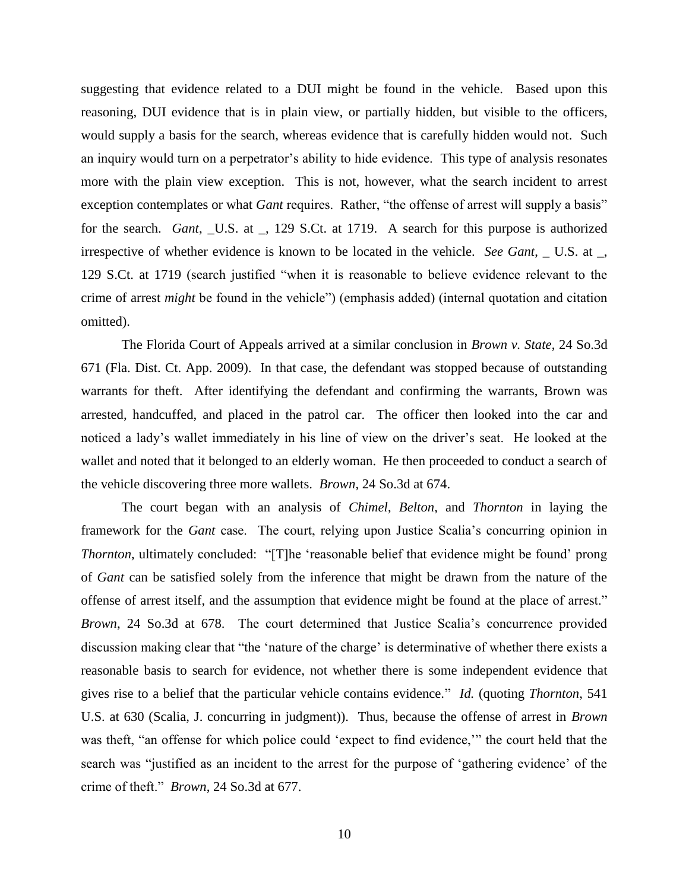suggesting that evidence related to a DUI might be found in the vehicle. Based upon this reasoning, DUI evidence that is in plain view, or partially hidden, but visible to the officers, would supply a basis for the search, whereas evidence that is carefully hidden would not. Such an inquiry would turn on a perpetrator's ability to hide evidence. This type of analysis resonates more with the plain view exception. This is not, however, what the search incident to arrest exception contemplates or what *Gant* requires. Rather, "the offense of arrest will supply a basis" for the search. *Gant*, \_U.S. at \_, 129 S.Ct. at 1719. A search for this purpose is authorized irrespective of whether evidence is known to be located in the vehicle. *See Gant*, \_ U.S. at \_, 129 S.Ct. at 1719 (search justified "when it is reasonable to believe evidence relevant to the crime of arrest *might* be found in the vehicle") (emphasis added) (internal quotation and citation omitted).

The Florida Court of Appeals arrived at a similar conclusion in *Brown v. State*, 24 So.3d 671 (Fla. Dist. Ct. App. 2009). In that case, the defendant was stopped because of outstanding warrants for theft. After identifying the defendant and confirming the warrants, Brown was arrested, handcuffed, and placed in the patrol car. The officer then looked into the car and noticed a lady's wallet immediately in his line of view on the driver's seat. He looked at the wallet and noted that it belonged to an elderly woman. He then proceeded to conduct a search of the vehicle discovering three more wallets. *Brown*, 24 So.3d at 674.

The court began with an analysis of *Chimel*, *Belton*, and *Thornton* in laying the framework for the *Gant* case. The court, relying upon Justice Scalia's concurring opinion in *Thornton*, ultimately concluded: "[T]he 'reasonable belief that evidence might be found' prong of *Gant* can be satisfied solely from the inference that might be drawn from the nature of the offense of arrest itself, and the assumption that evidence might be found at the place of arrest." *Brown*, 24 So.3d at 678. The court determined that Justice Scalia"s concurrence provided discussion making clear that "the 'nature of the charge' is determinative of whether there exists a reasonable basis to search for evidence, not whether there is some independent evidence that gives rise to a belief that the particular vehicle contains evidence." *Id.* (quoting *Thornton*, 541 U.S. at 630 (Scalia, J. concurring in judgment)). Thus, because the offense of arrest in *Brown* was theft, "an offense for which police could "expect to find evidence,"" the court held that the search was "justified as an incident to the arrest for the purpose of "gathering evidence" of the crime of theft." *Brown*, 24 So.3d at 677.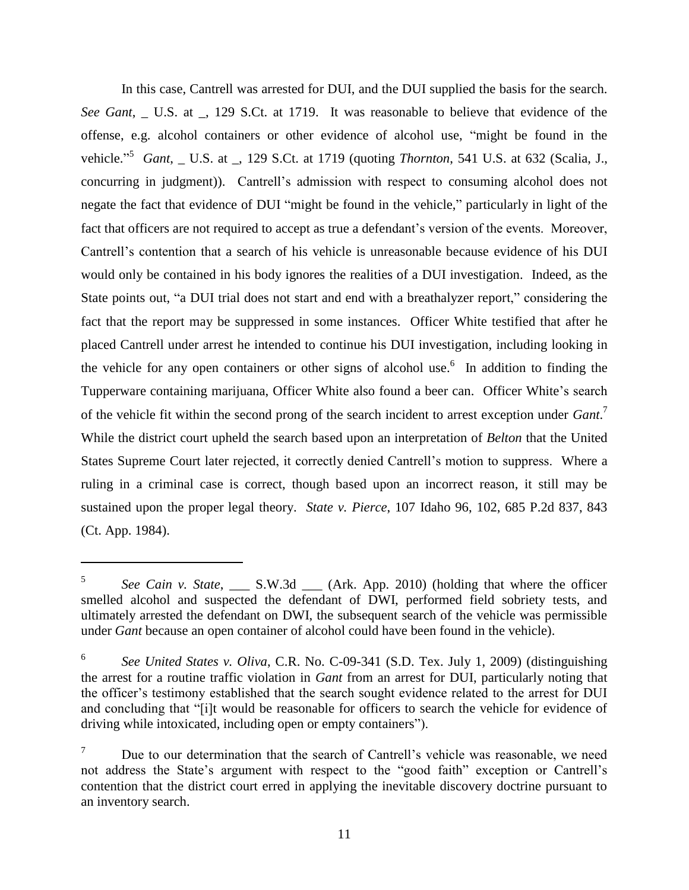In this case, Cantrell was arrested for DUI, and the DUI supplied the basis for the search. *See Gant*, U.S. at , 129 S.Ct. at 1719. It was reasonable to believe that evidence of the offense, e.g. alcohol containers or other evidence of alcohol use, "might be found in the vehicle." 5 *Gant*, \_ U.S. at \_, 129 S.Ct. at 1719 (quoting *Thornton*, 541 U.S. at 632 (Scalia, J., concurring in judgment)). Cantrell"s admission with respect to consuming alcohol does not negate the fact that evidence of DUI "might be found in the vehicle," particularly in light of the fact that officers are not required to accept as true a defendant's version of the events. Moreover, Cantrell"s contention that a search of his vehicle is unreasonable because evidence of his DUI would only be contained in his body ignores the realities of a DUI investigation. Indeed, as the State points out, "a DUI trial does not start and end with a breathalyzer report," considering the fact that the report may be suppressed in some instances. Officer White testified that after he placed Cantrell under arrest he intended to continue his DUI investigation, including looking in the vehicle for any open containers or other signs of alcohol use.<sup>6</sup> In addition to finding the Tupperware containing marijuana, Officer White also found a beer can. Officer White"s search of the vehicle fit within the second prong of the search incident to arrest exception under *Gant*. 7 While the district court upheld the search based upon an interpretation of *Belton* that the United States Supreme Court later rejected, it correctly denied Cantrell"s motion to suppress. Where a ruling in a criminal case is correct, though based upon an incorrect reason, it still may be sustained upon the proper legal theory. *State v. Pierce*, 107 Idaho 96, 102, 685 P.2d 837, 843 (Ct. App. 1984).

 $\overline{a}$ 

<sup>5</sup> *See Cain v. State*, \_\_\_ S.W.3d \_\_\_ (Ark. App. 2010) (holding that where the officer smelled alcohol and suspected the defendant of DWI, performed field sobriety tests, and ultimately arrested the defendant on DWI, the subsequent search of the vehicle was permissible under *Gant* because an open container of alcohol could have been found in the vehicle).

<sup>6</sup> *See United States v. Oliva*, C.R. No. C-09-341 (S.D. Tex. July 1, 2009) (distinguishing the arrest for a routine traffic violation in *Gant* from an arrest for DUI, particularly noting that the officer"s testimony established that the search sought evidence related to the arrest for DUI and concluding that "[i]t would be reasonable for officers to search the vehicle for evidence of driving while intoxicated, including open or empty containers").

Due to our determination that the search of Cantrell's vehicle was reasonable, we need not address the State's argument with respect to the "good faith" exception or Cantrell's contention that the district court erred in applying the inevitable discovery doctrine pursuant to an inventory search.